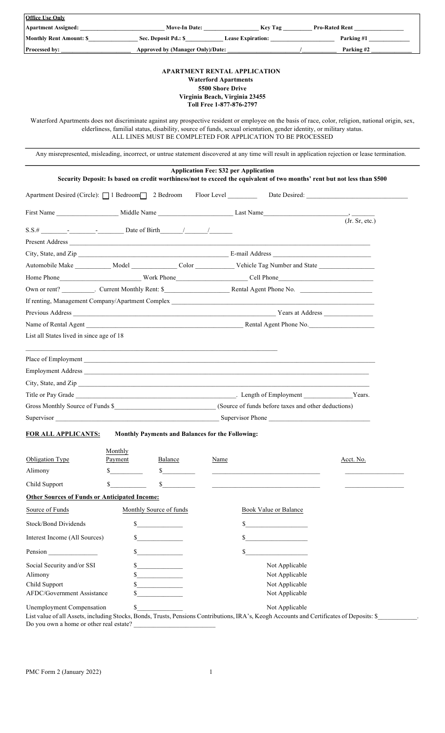| <b>Office Use Only</b>                                                               |                             |                             |                                                                                                                                                                                                                                |                                                                                                                                                      |  |
|--------------------------------------------------------------------------------------|-----------------------------|-----------------------------|--------------------------------------------------------------------------------------------------------------------------------------------------------------------------------------------------------------------------------|------------------------------------------------------------------------------------------------------------------------------------------------------|--|
|                                                                                      |                             |                             |                                                                                                                                                                                                                                | Apartment Assigned: Nove-In Date: Ney Tag Pro-Rated Rent                                                                                             |  |
|                                                                                      |                             |                             |                                                                                                                                                                                                                                | Parking #1                                                                                                                                           |  |
| Processed by:                                                                        |                             |                             |                                                                                                                                                                                                                                | Parking #2                                                                                                                                           |  |
|                                                                                      |                             |                             | <b>APARTMENT RENTAL APPLICATION</b><br><b>Waterford Apartments</b><br>5500 Shore Drive<br>Virginia Beach, Virginia 23455<br>Toll Free 1-877-876-2797                                                                           | Waterford Apartments does not discriminate against any prospective resident or employee on the basis of race, color, religion, national origin, sex, |  |
|                                                                                      |                             |                             | elderliness, familial status, disability, source of funds, sexual orientation, gender identity, or military status.<br>ALL LINES MUST BE COMPLETED FOR APPLICATION TO BE PROCESSED                                             |                                                                                                                                                      |  |
|                                                                                      |                             |                             |                                                                                                                                                                                                                                | Any misrepresented, misleading, incorrect, or untrue statement discovered at any time will result in application rejection or lease termination.     |  |
|                                                                                      |                             |                             | <b>Application Fee: \$32 per Application</b>                                                                                                                                                                                   | Security Deposit: Is based on credit worthiness/not to exceed the equivalent of two months' rent but not less than \$500                             |  |
|                                                                                      |                             |                             |                                                                                                                                                                                                                                | Apartment Desired (Circle): 1 Bedroom 2 Bedroom Floor Level Date Desired:                                                                            |  |
|                                                                                      |                             |                             |                                                                                                                                                                                                                                | (Jr. Sr, etc.)                                                                                                                                       |  |
|                                                                                      |                             |                             |                                                                                                                                                                                                                                |                                                                                                                                                      |  |
|                                                                                      |                             |                             |                                                                                                                                                                                                                                |                                                                                                                                                      |  |
|                                                                                      |                             |                             | City, State, and Zip E-mail Address E-mail Address E-mail Address E-mail Address E-mail Address E-mail Address E-mail Address E-mail Address E-mail Address E-mail Address E-mail Address E-mail Address E-mail Address E-mail |                                                                                                                                                      |  |
|                                                                                      |                             |                             |                                                                                                                                                                                                                                |                                                                                                                                                      |  |
|                                                                                      |                             |                             |                                                                                                                                                                                                                                |                                                                                                                                                      |  |
|                                                                                      |                             |                             | Own or rent? Current Monthly Rent: \$                                                                                                                                                                                          |                                                                                                                                                      |  |
|                                                                                      |                             |                             | If renting, Management Company/Apartment Complex                                                                                                                                                                               |                                                                                                                                                      |  |
|                                                                                      |                             |                             |                                                                                                                                                                                                                                |                                                                                                                                                      |  |
| Name of Rental Agent                                                                 |                             |                             | Rental Agent Phone No.                                                                                                                                                                                                         |                                                                                                                                                      |  |
| List all States lived in since age of 18                                             |                             |                             |                                                                                                                                                                                                                                |                                                                                                                                                      |  |
|                                                                                      |                             |                             | <u> 1989 - Jan Samuel Barbara, margaret eta biztanleria (h. 1989).</u><br>Place of Employment                                                                                                                                  |                                                                                                                                                      |  |
|                                                                                      |                             |                             | Employment Address                                                                                                                                                                                                             |                                                                                                                                                      |  |
|                                                                                      |                             |                             |                                                                                                                                                                                                                                |                                                                                                                                                      |  |
|                                                                                      |                             |                             |                                                                                                                                                                                                                                |                                                                                                                                                      |  |
| Gross Monthly Source of Funds \$ (Source of funds before taxes and other deductions) |                             |                             |                                                                                                                                                                                                                                |                                                                                                                                                      |  |
|                                                                                      |                             |                             |                                                                                                                                                                                                                                |                                                                                                                                                      |  |
|                                                                                      |                             |                             |                                                                                                                                                                                                                                |                                                                                                                                                      |  |
| <b>FOR ALL APPLICANTS:</b>                                                           |                             |                             | Monthly Payments and Balances for the Following:                                                                                                                                                                               |                                                                                                                                                      |  |
| Obligation Type                                                                      | Monthly<br>Payment          | Balance                     | Name                                                                                                                                                                                                                           | Acct. No.                                                                                                                                            |  |
| Alimony                                                                              | \$                          | $\frac{\sqrt{2}}{2}$        |                                                                                                                                                                                                                                |                                                                                                                                                      |  |
| Child Support                                                                        | \$                          | $\mathbb{S}$                | <u> 1980 - Johann Barnett, fransk politiker (</u> † 1918)                                                                                                                                                                      |                                                                                                                                                      |  |
| <b>Other Sources of Funds or Anticipated Income:</b>                                 |                             |                             |                                                                                                                                                                                                                                |                                                                                                                                                      |  |
| Source of Funds                                                                      | Monthly Source of funds     |                             | Book Value or Balance                                                                                                                                                                                                          |                                                                                                                                                      |  |
| Stock/Bond Dividends                                                                 | $\frac{\text{S}}{\text{S}}$ |                             | \$                                                                                                                                                                                                                             |                                                                                                                                                      |  |
| Interest Income (All Sources)                                                        |                             | $\sim$                      | $\sim$                                                                                                                                                                                                                         |                                                                                                                                                      |  |
| Pension                                                                              |                             | $\sim$                      |                                                                                                                                                                                                                                |                                                                                                                                                      |  |
| Social Security and/or SSI                                                           | \$                          |                             | Not Applicable                                                                                                                                                                                                                 |                                                                                                                                                      |  |
| Alimony                                                                              |                             | $\frac{\text{S}}{\text{S}}$ | Not Applicable                                                                                                                                                                                                                 |                                                                                                                                                      |  |
| Child Support<br>AFDC/Government Assistance                                          |                             |                             | Not Applicable<br>Not Applicable                                                                                                                                                                                               |                                                                                                                                                      |  |
|                                                                                      |                             |                             |                                                                                                                                                                                                                                |                                                                                                                                                      |  |
| Unemployment Compensation                                                            | \$                          |                             | Not Applicable                                                                                                                                                                                                                 |                                                                                                                                                      |  |